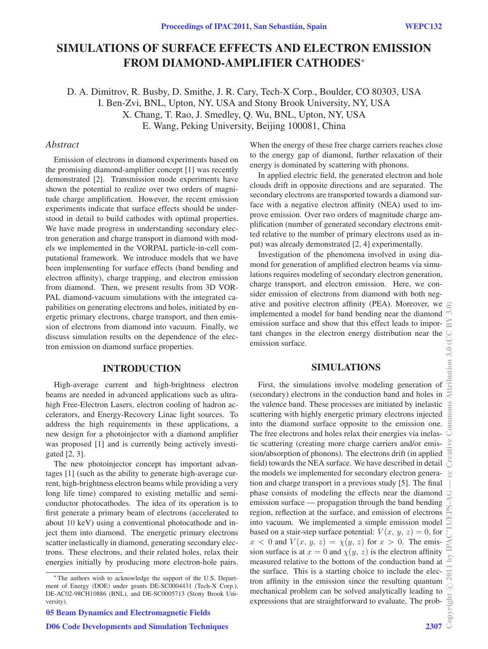# SIMULATIONS OF SURFACE EFFECTS AND ELECTRON EMISSION FROM DIAMOND-AMPLIFIER CATHODES<sup>∗</sup>

D. A. Dimitrov, R. Busby, D. Smithe, J. R. Cary, Tech-X Corp., Boulder, CO 80303, USA I. Ben-Zvi, BNL, Upton, NY, USA and Stony Brook University, NY, USA X. Chang, T. Rao, J. Smedley, Q. Wu, BNL, Upton, NY, USA E. Wang, Peking University, Beijing 100081, China

#### *Abstract*

Emission of electrons in diamond experiments based on the promising diamond-amplifier concept [1] was recently demonstrated [2]. Transmission mode experiments have shown the potential to realize over two orders of magnitude charge amplification. However, the recent emission experiments indicate that surface effects should be understood in detail to build cathodes with optimal properties. We have made progress in understanding secondary electron generation and charge transport in diamond with models we implemented in the VORPAL particle-in-cell computational framework. We introduce models that we have been implementing for surface effects (band bending and electron affinity), charge trapping, and electron emission from diamond. Then, we present results from 3D VOR-PAL diamond-vacuum simulations with the integrated capabilities on generating electrons and holes, initiated by energetic primary electrons, charge transport, and then emission of electrons from diamond into vacuum. Finally, we discuss simulation results on the dependence of the electron emission on diamond surface properties.

# INTRODUCTION

High-average current and high-brightness electron beams are needed in advanced applications such as ultrahigh Free-Electron Lasers, electron cooling of hadron accelerators, and Energy-Recovery Linac light sources. To address the high requirements in these applications, a new design for a photoinjector with a diamond amplifier was proposed [1] and is currently being actively investigated [2, 3].

The new photoinjector concept has important advantages [1] (such as the ability to generate high-average current, high-brightness electron beams while providing a very long life time) compared to existing metallic and semiconductor photocathodes. The idea of its operation is to first generate a primary beam of electrons (accelerated to about 10 keV) using a conventional photocathode and inject them into diamond. The energetic primary electrons scatter inelastically in diamond, generating secondary electrons. These electrons, and their related holes, relax their energies initially by producing more electron-hole pairs. When the energy of these free charge carriers reaches close to the energy gap of diamond, further relaxation of their energy is dominated by scattering with phonons.

In applied electric field, the generated electron and hole clouds drift in opposite directions and are separated. The secondary electrons are transported towards a diamond surface with a negative electron affinity (NEA) used to improve emission. Over two orders of magnitude charge amplification (number of generated secondary electrons emitted relative to the number of primary electrons used as input) was already demonstrated [2, 4] experimentally.

Investigation of the phenomena involved in using diamond for generation of amplified electron beams via simulations requires modeling of secondary electron generation, charge transport, and electron emission. Here, we consider emission of electrons from diamond with both negative and positive electron affinity (PEA). Moreover, we implemented a model for band bending near the diamond emission surface and show that this effect leads to important changes in the electron energy distribution near the emission surface.

# SIMULATIONS

First, the simulations involve modeling generation of (secondary) electrons in the conduction band and holes in the valence band. These processes are initiated by inelastic scattering with highly energetic primary electrons injected into the diamond surface opposite to the emission one. The free electrons and holes relax their energies via inelastic scattering (creating more charge carriers and/or emission/absorption of phonons). The electrons drift (in applied field) towards the NEA surface. We have described in detail the models we implemented for secondary electron generation and charge transport in a previous study [5]. The final phase consists of modeling the effects near the diamond emission surface — propagation through the band bending region, reflection at the surface, and emission of electrons into vacuum. We implemented a simple emission model based on a stair-step surface potential:  $V(x, y, z) = 0$ , for  $x < 0$  and  $V(x, y, z) = \chi(y, z)$  for  $x > 0$ . The emission surface is at  $x = 0$  and  $\chi(y, z)$  is the electron affinity measured relative to the bottom of the conduction band at the surface. This is a starting choice to include the electron affinity in the emission since the resulting quantum mechanical problem can be solved analytically leading to expressions that are straightforward to evaluate. The prob-

<sup>∗</sup> The authors wish to acknowledge the support of the U.S. Department of Energy (DOE) under grants DE-SC0004431 (Tech-X Corp.), DE-AC02-98CH10886 (BNL), and DE-SC0005713 (Stony Brook University).

<sup>05</sup> Beam Dynamics and Electromagnetic Fields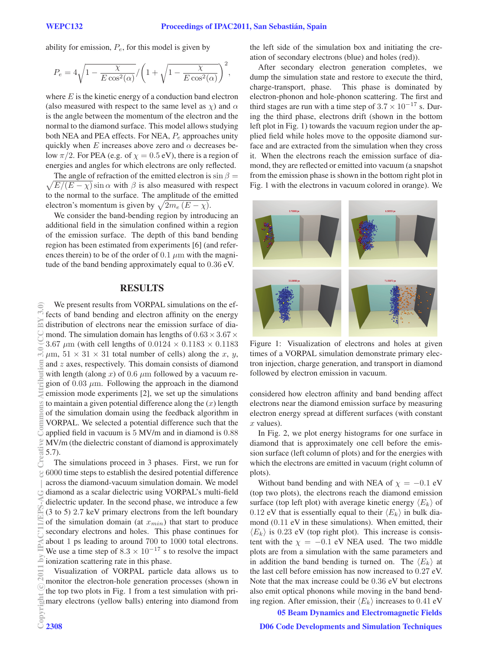ability for emission,  $P_e$ , for this model is given by

$$
P_e = 4\sqrt{1 - \frac{\chi}{E\cos^2(\alpha)}} / \left(1 + \sqrt{1 - \frac{\chi}{E\cos^2(\alpha)}}\right)^2,
$$

where  $E$  is the kinetic energy of a conduction band electron (also measured with respect to the same level as  $\chi$ ) and  $\alpha$ is the angle between the momentum of the electron and the normal to the diamond surface. This model allows studying both NEA and PEA effects. For NEA,  $P_e$  approaches unity quickly when  $E$  increases above zero and  $\alpha$  decreases below  $\pi/2$ . For PEA (e.g. of  $\chi = 0.5$  eV), there is a region of energies and angles for which electrons are only reflected.

 $\sqrt{E/(E - \chi)} \sin \alpha$  with  $\beta$  is also measured with respect The angle of refraction of the emitted electron is  $\sin \beta =$ to the normal to the surface. The amplitude of the emitted electron's momentum is given by  $\sqrt{2m_e(E-\chi)}$ .

We consider the band-bending region by introducing an additional field in the simulation confined within a region of the emission surface. The depth of this band bending region has been estimated from experiments [6] (and references therein) to be of the order of 0.1  $\mu$ m with the magnitude of the band bending approximately equal to 0.36 eV.

## RESULTS

We present results from VORPAL simulations on the effects of band bending and electron affinity on the energy 冨 distribution of electrons near the emission surface of diamond. The simulation domain has lengths of  $0.63 \times 3.67 \times$ 3.67  $\mu$ m (with cell lengths of 0.0124  $\times$  0.1183  $\times$  0.1183  $\mu$ m,  $51 \times 31 \times 31$  total number of cells) along the x, y, and z axes, respectively. This domain consists of diamond with length (along x) of 0.6  $\mu$ m followed by a vacuum region of  $0.03 \mu$ m. Following the approach in the diamond emission mode experiments [2], we set up the simulations to maintain a given potential difference along the  $(x)$  length of the simulation domain using the feedback algorithm in VORPAL. We selected a potential difference such that the applied field in vacuum is 5 MV/m and in diamond is 0.88 MV/m (the dielectric constant of diamond is approximately 5.7).

The simulations proceed in 3 phases. First, we run for 6000 time steps to establish the desired potential difference across the diamond-vacuum simulation domain. We model diamond as a scalar dielectric using VORPAL's multi-field dielectric updater. In the second phase, we introduce a few (3 to 5) 2.7 keV primary electrons from the left boundary of the simulation domain (at  $x_{min}$ ) that start to produce secondary electrons and holes. This phase continues for about 1 ps leading to around 700 to 1000 total electrons. We use a time step of  $8.3 \times 10^{-17}$  s to resolve the impact ionization scattering rate in this phase.

Visualization of VORPAL particle data allows us to monitor the electron-hole generation processes (shown in the top two plots in Fig. 1 from a test simulation with pri- $\frac{1}{2}$  mary electrons (yellow balls) entering into diamond from<br>Example 2308

the left side of the simulation box and initiating the creation of secondary electrons (blue) and holes (red)).

After secondary electron generation completes, we dump the simulation state and restore to execute the third, charge-transport, phase. This phase is dominated by electron-phonon and hole-phonon scattering. The first and third stages are run with a time step of  $3.7 \times 10^{-17}$  s. During the third phase, electrons drift (shown in the bottom left plot in Fig. 1) towards the vacuum region under the applied field while holes move to the opposite diamond surface and are extracted from the simulation when they cross it. When the electrons reach the emission surface of diamond, they are reflected or emitted into vacuum (a snapshot from the emission phase is shown in the bottom right plot in Fig. 1 with the electrons in vacuum colored in orange). We



Figure 1: Visualization of electrons and holes at given times of a VORPAL simulation demonstrate primary electron injection, charge generation, and transport in diamond followed by electron emission in vacuum.

considered how electron affinity and band bending affect electrons near the diamond emission surface by measuring electron energy spread at different surfaces (with constant  $x$  values).

In Fig. 2, we plot energy histograms for one surface in diamond that is approximately one cell before the emission surface (left column of plots) and for the energies with which the electrons are emitted in vacuum (right column of plots).

Without band bending and with NEA of  $\chi = -0.1$  eV (top two plots), the electrons reach the diamond emission surface (top left plot) with average kinetic energy  $\langle E_k \rangle$  of 0.12 eV that is essentially equal to their  $\langle E_k \rangle$  in bulk diamond (0.11 eV in these simulations). When emitted, their  $\langle E_k \rangle$  is 0.23 eV (top right plot). This increase is consistent with the  $\chi = -0.1$  eV NEA used. The two middle plots are from a simulation with the same parameters and in addition the band bending is turned on. The  $\langle E_k \rangle$  at the last cell before emission has now increased to 0.27 eV. Note that the max increase could be 0.36 eV but electrons also emit optical phonons while moving in the band bending region. After emission, their  $\langle E_k \rangle$  increases to 0.41 eV

05 Beam Dynamics and Electromagnetic Fields